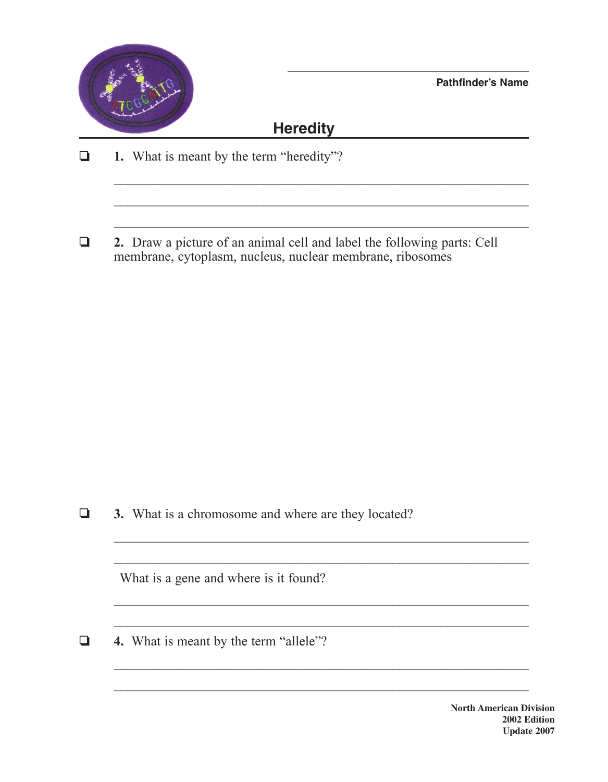

**Pathfinder's Name**

## **Heredity**

 $\mathcal{L}_\text{max}$  , and the contract of the contract of the contract of the contract of the contract of the contract of the contract of the contract of the contract of the contract of the contract of the contract of the contr

 $\mathcal{L}_\text{max}$  , and the contract of the contract of the contract of the contract of the contract of the contract of the contract of the contract of the contract of the contract of the contract of the contract of the contr

 $\_$  , and the contribution of the contribution of  $\mathcal{L}_\mathcal{A}$  , and the contribution of  $\mathcal{L}_\mathcal{A}$ 

 $\mathcal{L}_\text{max}$  , and the contribution of the contribution of the contribution of the contribution of the contribution of the contribution of the contribution of the contribution of the contribution of the contribution of t

 $\_$  , and the contribution of the contribution of  $\mathcal{L}_\mathcal{A}$  , and the contribution of  $\mathcal{L}_\mathcal{A}$ 

 $\mathcal{L}_\text{max}$  and the contract of the contract of the contract of the contract of the contract of the contract of

 $\_$  , and the contribution of the contribution of  $\mathcal{L}_\mathcal{A}$  , and the contribution of  $\mathcal{L}_\mathcal{A}$ 

❏ **1.** What is meant by the term "heredity"?

❏ **2.** Draw a picture of an animal cell and label the following parts: Cell membrane, cytoplasm, nucleus, nuclear membrane, ribosomes

❏ **3.** What is a chromosome and where are they located?

What is a gene and where is it found?

❏ **4.** What is meant by the term "allele"?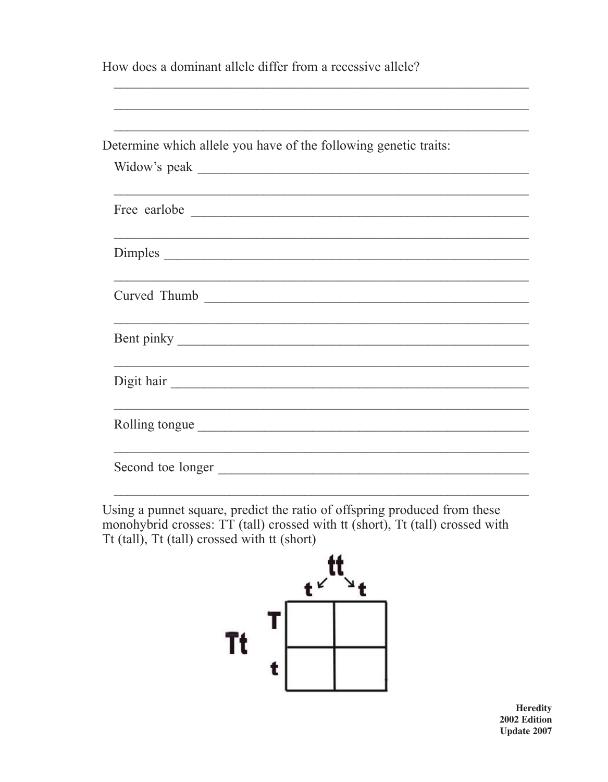How does a dominant allele differ from a recessive allele?

| Determine which allele you have of the following genetic traits: |  |
|------------------------------------------------------------------|--|
|                                                                  |  |
|                                                                  |  |
|                                                                  |  |
|                                                                  |  |
|                                                                  |  |
|                                                                  |  |
| Curved Thumb                                                     |  |
|                                                                  |  |
|                                                                  |  |
|                                                                  |  |
| Digit hair                                                       |  |
|                                                                  |  |
| Rolling tongue                                                   |  |
|                                                                  |  |
| Second toe longer                                                |  |

Using a punnet square, predict the ratio of offspring produced from these monohybrid crosses: TT (tall) crossed with tt (short), Tt (tall) crossed with Tt (tall), Tt (tall) crossed with tt (short)



**Heredity** 2002 Edition **Update 2007**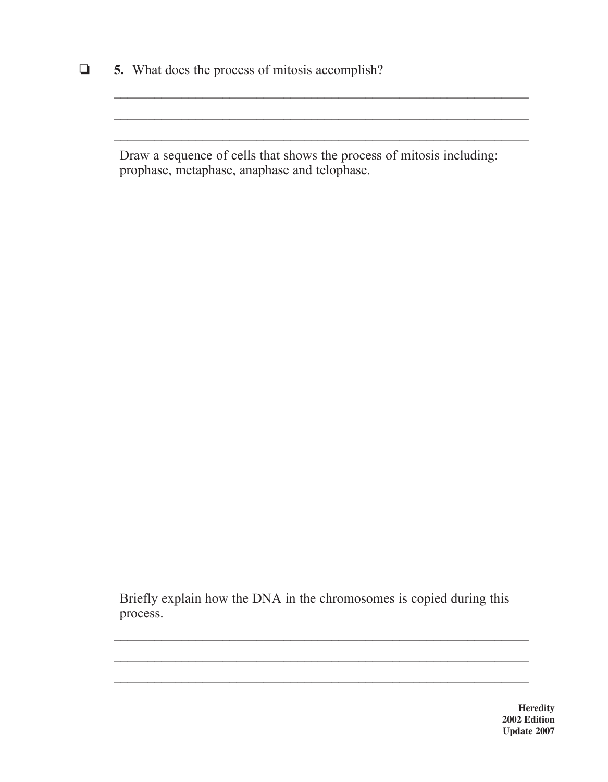❏ **5.** What does the process of mitosis accomplish?

Draw a sequence of cells that shows the process of mitosis including: prophase, metaphase, anaphase and telophase.

 $\_$  , and the contribution of the contribution of  $\mathcal{L}_\mathcal{A}$  , and the contribution of  $\mathcal{L}_\mathcal{A}$ 

 $\mathcal{L}_\text{max}$  , and the contribution of the contribution of the contribution of the contribution of the contribution of the contribution of the contribution of the contribution of the contribution of the contribution of t

Briefly explain how the DNA in the chromosomes is copied during this process.

 $\mathcal{L}_\text{max}$  and the contract of the contract of the contract of the contract of the contract of the contract of

 $\_$  , and the contribution of the contribution of  $\mathcal{L}_\mathcal{A}$  , and the contribution of  $\mathcal{L}_\mathcal{A}$ 

**Heredity 2002 Edition Update 2007**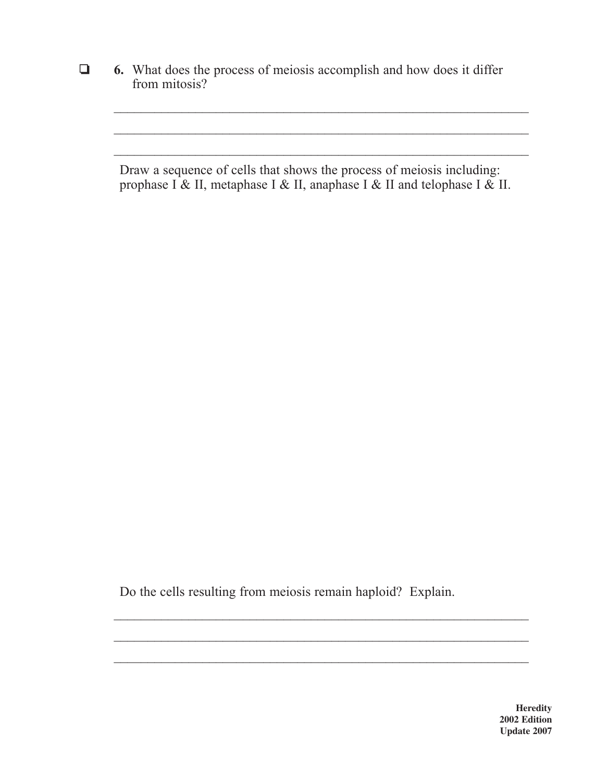❏ **6.** What does the process of meiosis accomplish and how does it differ from mitosis?

Draw a sequence of cells that shows the process of meiosis including: prophase I & II, metaphase I & II, anaphase I & II and telophase I & II.

 $\_$  , and the contribution of the contribution of  $\mathcal{L}_\mathcal{A}$  , and the contribution of  $\mathcal{L}_\mathcal{A}$ 

 $\mathcal{L}_\text{max}$  , and the contribution of the contribution of the contribution of the contribution of the contribution of the contribution of the contribution of the contribution of the contribution of the contribution of t

Do the cells resulting from meiosis remain haploid? Explain.

 $\mathcal{L}_\text{max}$  and the contract of the contract of the contract of the contract of the contract of the contract of

 $\_$  , and the contribution of the contribution of  $\mathcal{L}_\mathcal{A}$  , and the contribution of  $\mathcal{L}_\mathcal{A}$ 

**Heredity 2002 Edition Update 2007**